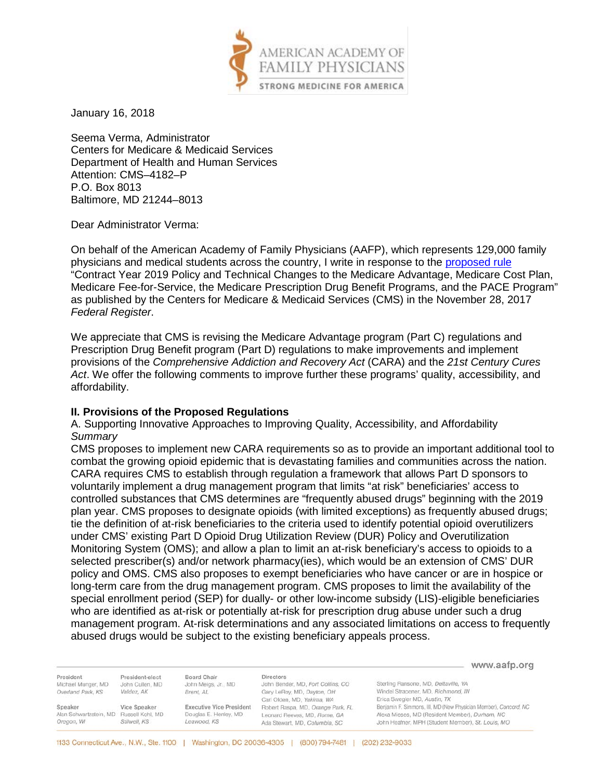

January 16, 2018

Seema Verma, Administrator Centers for Medicare & Medicaid Services Department of Health and Human Services Attention: CMS–4182–P P.O. Box 8013 Baltimore, MD 21244–8013

Dear Administrator Verma:

On behalf of the American Academy of Family Physicians (AAFP), which represents 129,000 family physicians and medical students across the country, I write in response to the [proposed rule](https://www.gpo.gov/fdsys/pkg/FR-2017-11-28/pdf/2017-25068.pdf) "Contract Year 2019 Policy and Technical Changes to the Medicare Advantage, Medicare Cost Plan, Medicare Fee-for-Service, the Medicare Prescription Drug Benefit Programs, and the PACE Program" as published by the Centers for Medicare & Medicaid Services (CMS) in the November 28, 2017 *Federal Register*.

We appreciate that CMS is revising the Medicare Advantage program (Part C) regulations and Prescription Drug Benefit program (Part D) regulations to make improvements and implement provisions of the *Comprehensive Addiction and Recovery Act* (CARA) and the *21st Century Cures Act*. We offer the following comments to improve further these programs' quality, accessibility, and affordability.

### **II. Provisions of the Proposed Regulations**

A. Supporting Innovative Approaches to Improving Quality, Accessibility, and Affordability *Summary* 

CMS proposes to implement new CARA requirements so as to provide an important additional tool to combat the growing opioid epidemic that is devastating families and communities across the nation. CARA requires CMS to establish through regulation a framework that allows Part D sponsors to voluntarily implement a drug management program that limits "at risk" beneficiaries' access to controlled substances that CMS determines are "frequently abused drugs" beginning with the 2019 plan year. CMS proposes to designate opioids (with limited exceptions) as frequently abused drugs; tie the definition of at-risk beneficiaries to the criteria used to identify potential opioid overutilizers under CMS' existing Part D Opioid Drug Utilization Review (DUR) Policy and Overutilization Monitoring System (OMS); and allow a plan to limit an at-risk beneficiary's access to opioids to a selected prescriber(s) and/or network pharmacy(ies), which would be an extension of CMS' DUR policy and OMS. CMS also proposes to exempt beneficiaries who have cancer or are in hospice or long-term care from the drug management program. CMS proposes to limit the availability of the special enrollment period (SEP) for dually- or other low-income subsidy (LIS)-eligible beneficiaries who are identified as at-risk or potentially at-risk for prescription drug abuse under such a drug management program. At-risk determinations and any associated limitations on access to frequently abused drugs would be subject to the existing beneficiary appeals process.

|                                         |                                    |                                    |                                                       | www.aafp.org                                                     |
|-----------------------------------------|------------------------------------|------------------------------------|-------------------------------------------------------|------------------------------------------------------------------|
| President<br>Michael Munger, MD         | President-elect<br>John Cullen, MD | Board Chair<br>John Meigs, Jr., MD | <b>Directors</b><br>John Bender, MD, Fort Collins, CO | Sterling Ransone, MD, Deltaville, VA                             |
| Overland Park, KS                       | Valdez, AK                         | Brent, AL                          | Gary LeRoy, MD, Dayton, OH                            | Windel Stracener, MD, Richmond, IN                               |
|                                         |                                    |                                    | Carl Olden, MD, Yakima, WA                            | Erica Swegler MD, Austin, TX                                     |
| Speaker                                 | Vice Speaker                       | <b>Executive Vice President</b>    | Robert Raspa, MD, Orange Park, FL                     | Benjamin F. Simmons, III, MD (New Physician Member), Concord, NC |
| Alan Schwartzstein, MD Russell Kohl, MD |                                    | Douglas E. Henley, MD              | Leonard Reeves, MD, Rome, GA                          | Alexa Mieses, MD (Resident Member), Durham, NC                   |
| Oregon, WI                              | Stilwell, KS                       | Leawood, KS                        | Ada Stewart, MD, Columbia, SC                         | John Heafner, MPH (Student Member), St. Louis, MO                |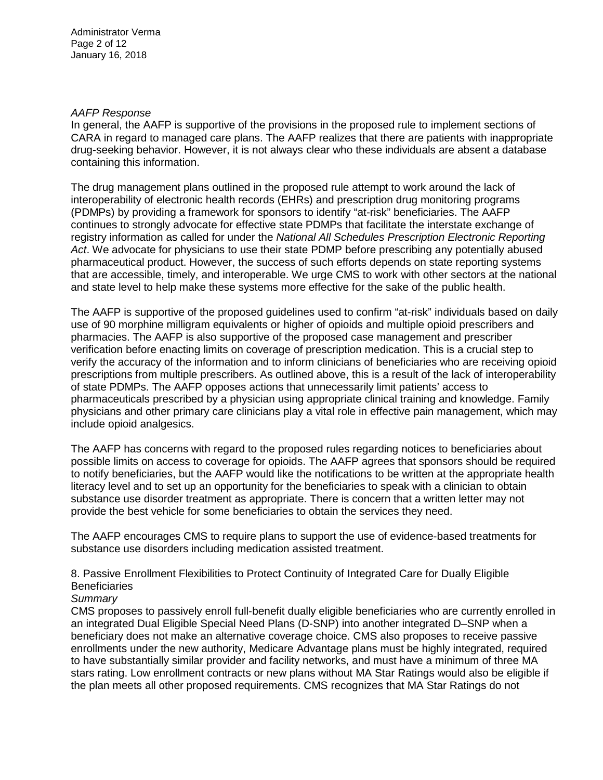#### *AAFP Response*

In general, the AAFP is supportive of the provisions in the proposed rule to implement sections of CARA in regard to managed care plans. The AAFP realizes that there are patients with inappropriate drug-seeking behavior. However, it is not always clear who these individuals are absent a database containing this information.

The drug management plans outlined in the proposed rule attempt to work around the lack of interoperability of electronic health records (EHRs) and prescription drug monitoring programs (PDMPs) by providing a framework for sponsors to identify "at-risk" beneficiaries. The AAFP continues to strongly advocate for effective state PDMPs that facilitate the interstate exchange of registry information as called for under the *National All Schedules Prescription Electronic Reporting Act*. We advocate for physicians to use their state PDMP before prescribing any potentially abused pharmaceutical product. However, the success of such efforts depends on state reporting systems that are accessible, timely, and interoperable. We urge CMS to work with other sectors at the national and state level to help make these systems more effective for the sake of the public health.

The AAFP is supportive of the proposed guidelines used to confirm "at-risk" individuals based on daily use of 90 morphine milligram equivalents or higher of opioids and multiple opioid prescribers and pharmacies. The AAFP is also supportive of the proposed case management and prescriber verification before enacting limits on coverage of prescription medication. This is a crucial step to verify the accuracy of the information and to inform clinicians of beneficiaries who are receiving opioid prescriptions from multiple prescribers. As outlined above, this is a result of the lack of interoperability of state PDMPs. The AAFP opposes actions that unnecessarily limit patients' access to pharmaceuticals prescribed by a physician using appropriate clinical training and knowledge. Family physicians and other primary care clinicians play a vital role in effective pain management, which may include opioid analgesics.

The AAFP has concerns with regard to the proposed rules regarding notices to beneficiaries about possible limits on access to coverage for opioids. The AAFP agrees that sponsors should be required to notify beneficiaries, but the AAFP would like the notifications to be written at the appropriate health literacy level and to set up an opportunity for the beneficiaries to speak with a clinician to obtain substance use disorder treatment as appropriate. There is concern that a written letter may not provide the best vehicle for some beneficiaries to obtain the services they need.

The AAFP encourages CMS to require plans to support the use of evidence-based treatments for substance use disorders including medication assisted treatment.

8. Passive Enrollment Flexibilities to Protect Continuity of Integrated Care for Dually Eligible **Beneficiaries** 

### *Summary*

CMS proposes to passively enroll full-benefit dually eligible beneficiaries who are currently enrolled in an integrated Dual Eligible Special Need Plans (D-SNP) into another integrated D–SNP when a beneficiary does not make an alternative coverage choice. CMS also proposes to receive passive enrollments under the new authority, Medicare Advantage plans must be highly integrated, required to have substantially similar provider and facility networks, and must have a minimum of three MA stars rating. Low enrollment contracts or new plans without MA Star Ratings would also be eligible if the plan meets all other proposed requirements. CMS recognizes that MA Star Ratings do not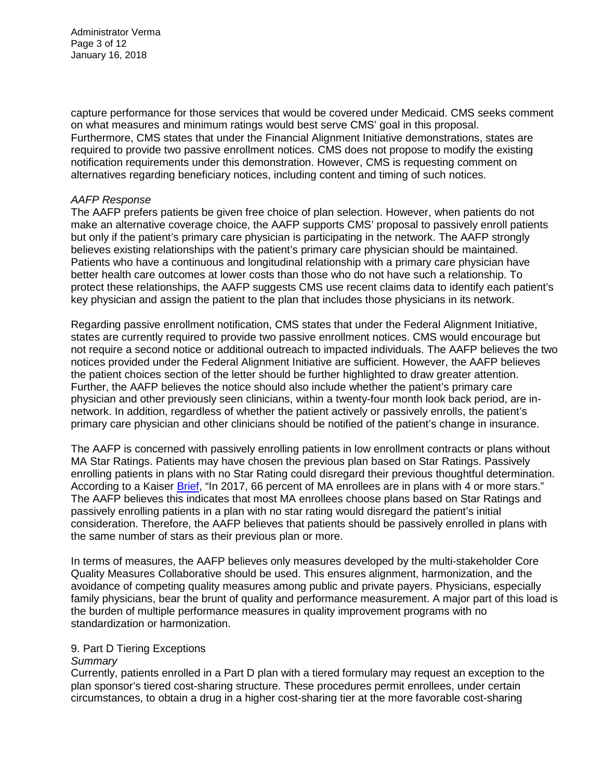Administrator Verma Page 3 of 12 January 16, 2018

capture performance for those services that would be covered under Medicaid. CMS seeks comment on what measures and minimum ratings would best serve CMS' goal in this proposal. Furthermore, CMS states that under the Financial Alignment Initiative demonstrations, states are required to provide two passive enrollment notices. CMS does not propose to modify the existing notification requirements under this demonstration. However, CMS is requesting comment on alternatives regarding beneficiary notices, including content and timing of such notices.

### *AAFP Response*

The AAFP prefers patients be given free choice of plan selection. However, when patients do not make an alternative coverage choice, the AAFP supports CMS' proposal to passively enroll patients but only if the patient's primary care physician is participating in the network. The AAFP strongly believes existing relationships with the patient's primary care physician should be maintained. Patients who have a continuous and longitudinal relationship with a primary care physician have better health care outcomes at lower costs than those who do not have such a relationship. To protect these relationships, the AAFP suggests CMS use recent claims data to identify each patient's key physician and assign the patient to the plan that includes those physicians in its network.

Regarding passive enrollment notification, CMS states that under the Federal Alignment Initiative, states are currently required to provide two passive enrollment notices. CMS would encourage but not require a second notice or additional outreach to impacted individuals. The AAFP believes the two notices provided under the Federal Alignment Initiative are sufficient. However, the AAFP believes the patient choices section of the letter should be further highlighted to draw greater attention. Further, the AAFP believes the notice should also include whether the patient's primary care physician and other previously seen clinicians, within a twenty-four month look back period, are innetwork. In addition, regardless of whether the patient actively or passively enrolls, the patient's primary care physician and other clinicians should be notified of the patient's change in insurance.

The AAFP is concerned with passively enrolling patients in low enrollment contracts or plans without MA Star Ratings. Patients may have chosen the previous plan based on Star Ratings. Passively enrolling patients in plans with no Star Rating could disregard their previous thoughtful determination. According to a Kaiser [Brief,](https://www.kff.org/medicare/issue-brief/medicare-advantage-2017-spotlight-enrollment-market-update/) "In 2017, 66 percent of MA enrollees are in plans with 4 or more stars." The AAFP believes this indicates that most MA enrollees choose plans based on Star Ratings and passively enrolling patients in a plan with no star rating would disregard the patient's initial consideration. Therefore, the AAFP believes that patients should be passively enrolled in plans with the same number of stars as their previous plan or more.

In terms of measures, the AAFP believes only measures developed by the multi-stakeholder Core Quality Measures Collaborative should be used. This ensures alignment, harmonization, and the avoidance of competing quality measures among public and private payers. Physicians, especially family physicians, bear the brunt of quality and performance measurement. A major part of this load is the burden of multiple performance measures in quality improvement programs with no standardization or harmonization.

### 9. Part D Tiering Exceptions

### *Summary*

Currently, patients enrolled in a Part D plan with a tiered formulary may request an exception to the plan sponsor's tiered cost-sharing structure. These procedures permit enrollees, under certain circumstances, to obtain a drug in a higher cost-sharing tier at the more favorable cost-sharing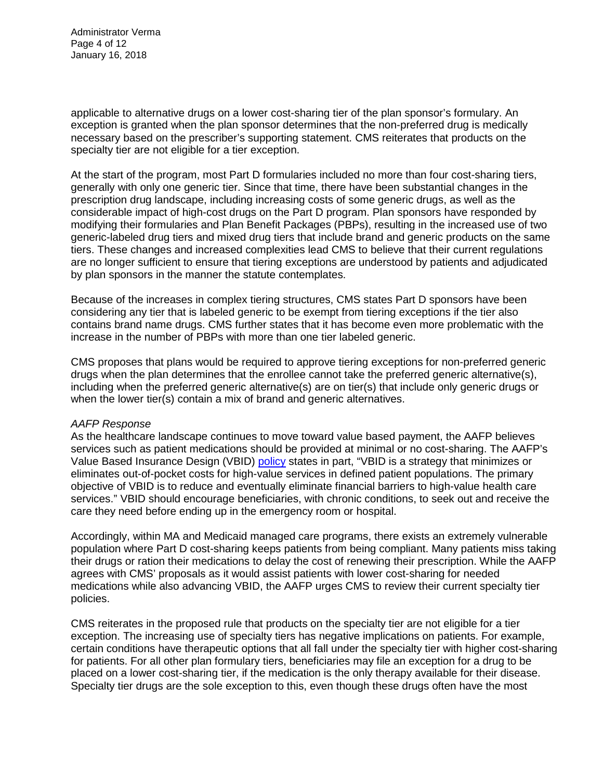Administrator Verma Page 4 of 12 January 16, 2018

applicable to alternative drugs on a lower cost-sharing tier of the plan sponsor's formulary. An exception is granted when the plan sponsor determines that the non-preferred drug is medically necessary based on the prescriber's supporting statement. CMS reiterates that products on the specialty tier are not eligible for a tier exception.

At the start of the program, most Part D formularies included no more than four cost-sharing tiers, generally with only one generic tier. Since that time, there have been substantial changes in the prescription drug landscape, including increasing costs of some generic drugs, as well as the considerable impact of high-cost drugs on the Part D program. Plan sponsors have responded by modifying their formularies and Plan Benefit Packages (PBPs), resulting in the increased use of two generic-labeled drug tiers and mixed drug tiers that include brand and generic products on the same tiers. These changes and increased complexities lead CMS to believe that their current regulations are no longer sufficient to ensure that tiering exceptions are understood by patients and adjudicated by plan sponsors in the manner the statute contemplates.

Because of the increases in complex tiering structures, CMS states Part D sponsors have been considering any tier that is labeled generic to be exempt from tiering exceptions if the tier also contains brand name drugs. CMS further states that it has become even more problematic with the increase in the number of PBPs with more than one tier labeled generic.

CMS proposes that plans would be required to approve tiering exceptions for non-preferred generic drugs when the plan determines that the enrollee cannot take the preferred generic alternative(s), including when the preferred generic alternative(s) are on tier(s) that include only generic drugs or when the lower tier(s) contain a mix of brand and generic alternatives.

### *AAFP Response*

As the healthcare landscape continues to move toward value based payment, the AAFP believes services such as patient medications should be provided at minimal or no cost-sharing. The AAFP's Value Based Insurance Design (VBID) [policy](http://www.aafp.org/about/policies/all/valuebased-insurancedesign.html) states in part, "VBID is a strategy that minimizes or eliminates out-of-pocket costs for high-value services in defined patient populations. The primary objective of VBID is to reduce and eventually eliminate financial barriers to high-value health care services." VBID should encourage beneficiaries, with chronic conditions, to seek out and receive the care they need before ending up in the emergency room or hospital.

Accordingly, within MA and Medicaid managed care programs, there exists an extremely vulnerable population where Part D cost-sharing keeps patients from being compliant. Many patients miss taking their drugs or ration their medications to delay the cost of renewing their prescription. While the AAFP agrees with CMS' proposals as it would assist patients with lower cost-sharing for needed medications while also advancing VBID, the AAFP urges CMS to review their current specialty tier policies.

CMS reiterates in the proposed rule that products on the specialty tier are not eligible for a tier exception. The increasing use of specialty tiers has negative implications on patients. For example, certain conditions have therapeutic options that all fall under the specialty tier with higher cost-sharing for patients. For all other plan formulary tiers, beneficiaries may file an exception for a drug to be placed on a lower cost-sharing tier, if the medication is the only therapy available for their disease. Specialty tier drugs are the sole exception to this, even though these drugs often have the most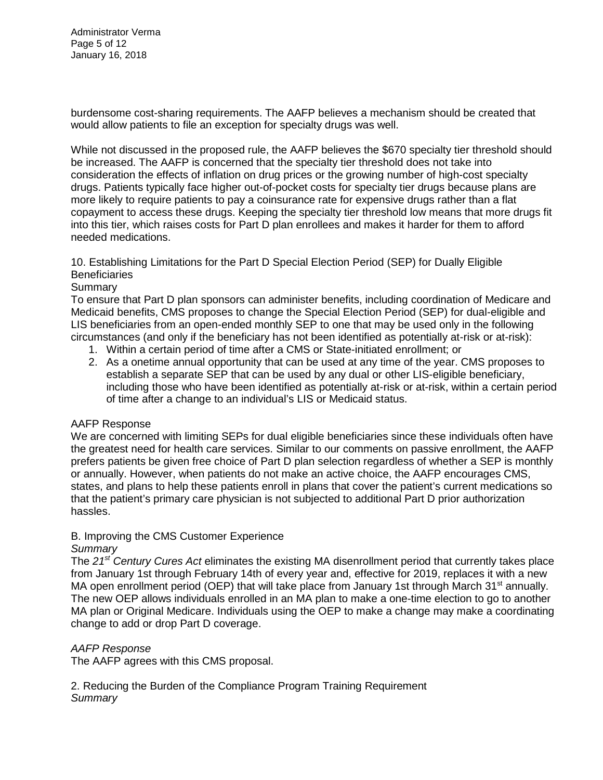Administrator Verma Page 5 of 12 January 16, 2018

burdensome cost-sharing requirements. The AAFP believes a mechanism should be created that would allow patients to file an exception for specialty drugs was well.

While not discussed in the proposed rule, the AAFP believes the \$670 specialty tier threshold should be increased. The AAFP is concerned that the specialty tier threshold does not take into consideration the effects of inflation on drug prices or the growing number of high-cost specialty drugs. Patients typically face higher out-of-pocket costs for specialty tier drugs because plans are more likely to require patients to pay a coinsurance rate for expensive drugs rather than a flat copayment to access these drugs. Keeping the specialty tier threshold low means that more drugs fit into this tier, which raises costs for Part D plan enrollees and makes it harder for them to afford needed medications.

10. Establishing Limitations for the Part D Special Election Period (SEP) for Dually Eligible **Beneficiaries** 

## Summary

To ensure that Part D plan sponsors can administer benefits, including coordination of Medicare and Medicaid benefits, CMS proposes to change the Special Election Period (SEP) for dual-eligible and LIS beneficiaries from an open-ended monthly SEP to one that may be used only in the following circumstances (and only if the beneficiary has not been identified as potentially at-risk or at-risk):

- 1. Within a certain period of time after a CMS or State-initiated enrollment; or
- 2. As a onetime annual opportunity that can be used at any time of the year. CMS proposes to establish a separate SEP that can be used by any dual or other LIS-eligible beneficiary, including those who have been identified as potentially at-risk or at-risk, within a certain period of time after a change to an individual's LIS or Medicaid status.

### AAFP Response

We are concerned with limiting SEPs for dual eligible beneficiaries since these individuals often have the greatest need for health care services. Similar to our comments on passive enrollment, the AAFP prefers patients be given free choice of Part D plan selection regardless of whether a SEP is monthly or annually. However, when patients do not make an active choice, the AAFP encourages CMS, states, and plans to help these patients enroll in plans that cover the patient's current medications so that the patient's primary care physician is not subjected to additional Part D prior authorization hassles.

## B. Improving the CMS Customer Experience

### *Summary*

The *21st Century Cures Act* eliminates the existing MA disenrollment period that currently takes place from January 1st through February 14th of every year and, effective for 2019, replaces it with a new MA open enrollment period (OEP) that will take place from January 1st through March 31<sup>st</sup> annually. The new OEP allows individuals enrolled in an MA plan to make a one-time election to go to another MA plan or Original Medicare. Individuals using the OEP to make a change may make a coordinating change to add or drop Part D coverage.

### *AAFP Response*

The AAFP agrees with this CMS proposal.

2. Reducing the Burden of the Compliance Program Training Requirement *Summary*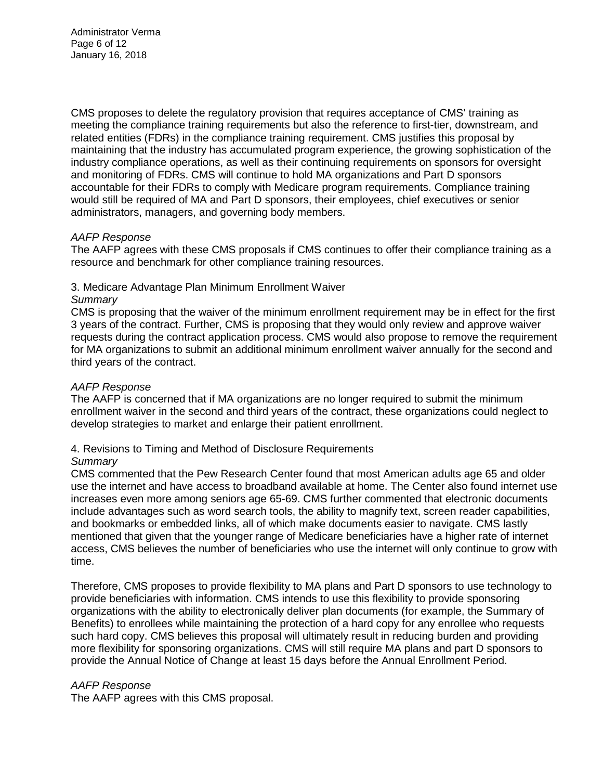Administrator Verma Page 6 of 12 January 16, 2018

CMS proposes to delete the regulatory provision that requires acceptance of CMS' training as meeting the compliance training requirements but also the reference to first-tier, downstream, and related entities (FDRs) in the compliance training requirement. CMS justifies this proposal by maintaining that the industry has accumulated program experience, the growing sophistication of the industry compliance operations, as well as their continuing requirements on sponsors for oversight and monitoring of FDRs. CMS will continue to hold MA organizations and Part D sponsors accountable for their FDRs to comply with Medicare program requirements. Compliance training would still be required of MA and Part D sponsors, their employees, chief executives or senior administrators, managers, and governing body members.

### *AAFP Response*

The AAFP agrees with these CMS proposals if CMS continues to offer their compliance training as a resource and benchmark for other compliance training resources.

## 3. Medicare Advantage Plan Minimum Enrollment Waiver

### *Summary*

CMS is proposing that the waiver of the minimum enrollment requirement may be in effect for the first 3 years of the contract. Further, CMS is proposing that they would only review and approve waiver requests during the contract application process. CMS would also propose to remove the requirement for MA organizations to submit an additional minimum enrollment waiver annually for the second and third years of the contract.

### *AAFP Response*

The AAFP is concerned that if MA organizations are no longer required to submit the minimum enrollment waiver in the second and third years of the contract, these organizations could neglect to develop strategies to market and enlarge their patient enrollment.

## 4. Revisions to Timing and Method of Disclosure Requirements

### *Summary*

CMS commented that the Pew Research Center found that most American adults age 65 and older use the internet and have access to broadband available at home. The Center also found internet use increases even more among seniors age 65-69. CMS further commented that electronic documents include advantages such as word search tools, the ability to magnify text, screen reader capabilities, and bookmarks or embedded links, all of which make documents easier to navigate. CMS lastly mentioned that given that the younger range of Medicare beneficiaries have a higher rate of internet access, CMS believes the number of beneficiaries who use the internet will only continue to grow with time.

Therefore, CMS proposes to provide flexibility to MA plans and Part D sponsors to use technology to provide beneficiaries with information. CMS intends to use this flexibility to provide sponsoring organizations with the ability to electronically deliver plan documents (for example, the Summary of Benefits) to enrollees while maintaining the protection of a hard copy for any enrollee who requests such hard copy. CMS believes this proposal will ultimately result in reducing burden and providing more flexibility for sponsoring organizations. CMS will still require MA plans and part D sponsors to provide the Annual Notice of Change at least 15 days before the Annual Enrollment Period.

### *AAFP Response*

The AAFP agrees with this CMS proposal.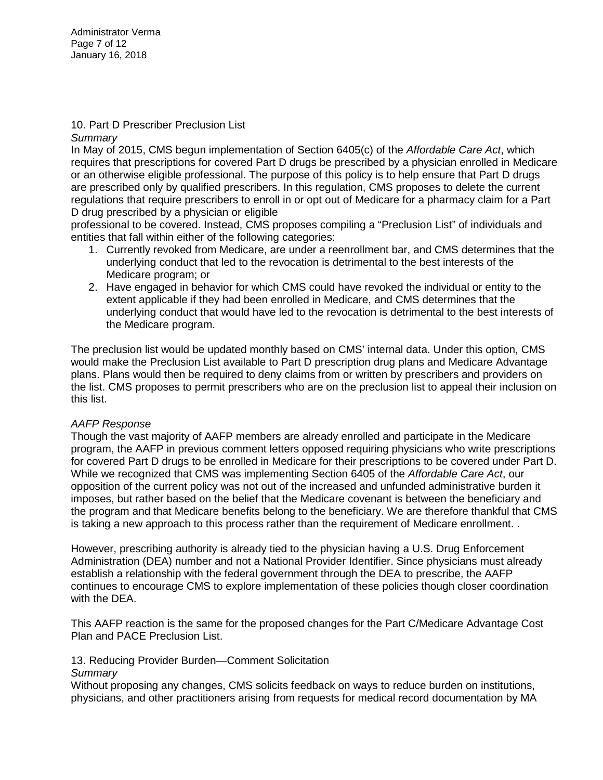Administrator Verma Page 7 of 12 January 16, 2018

#### 10. Part D Prescriber Preclusion List *Summary*

In May of 2015, CMS begun implementation of Section 6405(c) of the *Affordable Care Act*, which requires that prescriptions for covered Part D drugs be prescribed by a physician enrolled in Medicare or an otherwise eligible professional. The purpose of this policy is to help ensure that Part D drugs are prescribed only by qualified prescribers. In this regulation, CMS proposes to delete the current regulations that require prescribers to enroll in or opt out of Medicare for a pharmacy claim for a Part D drug prescribed by a physician or eligible

professional to be covered. Instead, CMS proposes compiling a "Preclusion List" of individuals and entities that fall within either of the following categories:

- 1. Currently revoked from Medicare, are under a reenrollment bar, and CMS determines that the underlying conduct that led to the revocation is detrimental to the best interests of the Medicare program; or
- 2. Have engaged in behavior for which CMS could have revoked the individual or entity to the extent applicable if they had been enrolled in Medicare, and CMS determines that the underlying conduct that would have led to the revocation is detrimental to the best interests of the Medicare program.

The preclusion list would be updated monthly based on CMS' internal data. Under this option, CMS would make the Preclusion List available to Part D prescription drug plans and Medicare Advantage plans. Plans would then be required to deny claims from or written by prescribers and providers on the list. CMS proposes to permit prescribers who are on the preclusion list to appeal their inclusion on this list.

## *AAFP Response*

Though the vast majority of AAFP members are already enrolled and participate in the Medicare program, the AAFP in previous comment letters opposed requiring physicians who write prescriptions for covered Part D drugs to be enrolled in Medicare for their prescriptions to be covered under Part D. While we recognized that CMS was implementing Section 6405 of the *Affordable Care Act*, our opposition of the current policy was not out of the increased and unfunded administrative burden it imposes, but rather based on the belief that the Medicare covenant is between the beneficiary and the program and that Medicare benefits belong to the beneficiary. We are therefore thankful that CMS is taking a new approach to this process rather than the requirement of Medicare enrollment. .

However, prescribing authority is already tied to the physician having a U.S. Drug Enforcement Administration (DEA) number and not a National Provider Identifier. Since physicians must already establish a relationship with the federal government through the DEA to prescribe, the AAFP continues to encourage CMS to explore implementation of these policies though closer coordination with the DEA.

This AAFP reaction is the same for the proposed changes for the Part C/Medicare Advantage Cost Plan and PACE Preclusion List.

## 13. Reducing Provider Burden—Comment Solicitation

## *Summary*

Without proposing any changes, CMS solicits feedback on ways to reduce burden on institutions, physicians, and other practitioners arising from requests for medical record documentation by MA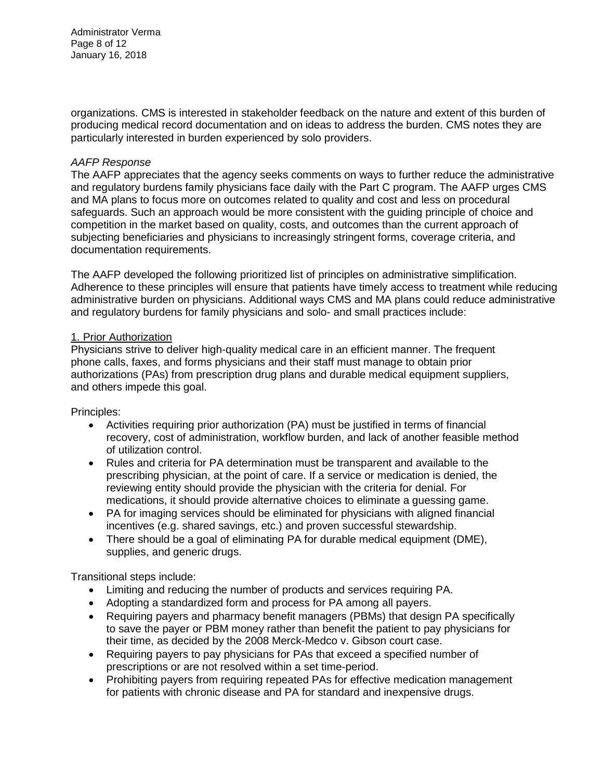Administrator Verma Page 8 of 12 January 16, 2018

organizations. CMS is interested in stakeholder feedback on the nature and extent of this burden of producing medical record documentation and on ideas to address the burden. CMS notes they are particularly interested in burden experienced by solo providers.

### *AAFP Response*

The AAFP appreciates that the agency seeks comments on ways to further reduce the administrative and regulatory burdens family physicians face daily with the Part C program. The AAFP urges CMS and MA plans to focus more on outcomes related to quality and cost and less on procedural safeguards. Such an approach would be more consistent with the guiding principle of choice and competition in the market based on quality, costs, and outcomes than the current approach of subjecting beneficiaries and physicians to increasingly stringent forms, coverage criteria, and documentation requirements.

The AAFP developed the following prioritized list of principles on administrative simplification. Adherence to these principles will ensure that patients have timely access to treatment while reducing administrative burden on physicians. Additional ways CMS and MA plans could reduce administrative and regulatory burdens for family physicians and solo- and small practices include:

### 1. Prior Authorization

Physicians strive to deliver high-quality medical care in an efficient manner. The frequent phone calls, faxes, and forms physicians and their staff must manage to obtain prior authorizations (PAs) from prescription drug plans and durable medical equipment suppliers, and others impede this goal.

Principles:

- Activities requiring prior authorization (PA) must be justified in terms of financial recovery, cost of administration, workflow burden, and lack of another feasible method of utilization control.
- Rules and criteria for PA determination must be transparent and available to the prescribing physician, at the point of care. If a service or medication is denied, the reviewing entity should provide the physician with the criteria for denial. For medications, it should provide alternative choices to eliminate a guessing game.
- PA for imaging services should be eliminated for physicians with aligned financial incentives (e.g. shared savings, etc.) and proven successful stewardship.
- There should be a goal of eliminating PA for durable medical equipment (DME), supplies, and generic drugs.

Transitional steps include:

- Limiting and reducing the number of products and services requiring PA.
- Adopting a standardized form and process for PA among all payers.
- Requiring payers and pharmacy benefit managers (PBMs) that design PA specifically to save the payer or PBM money rather than benefit the patient to pay physicians for their time, as decided by the 2008 Merck-Medco v. Gibson court case.
- Requiring payers to pay physicians for PAs that exceed a specified number of prescriptions or are not resolved within a set time-period.
- Prohibiting payers from requiring repeated PAs for effective medication management for patients with chronic disease and PA for standard and inexpensive drugs.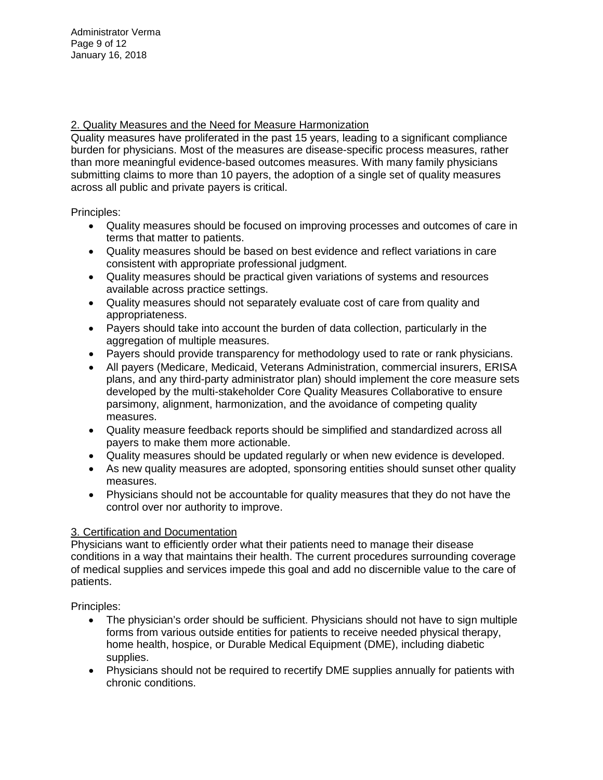2. Quality Measures and the Need for Measure Harmonization

Quality measures have proliferated in the past 15 years, leading to a significant compliance burden for physicians. Most of the measures are disease-specific process measures, rather than more meaningful evidence-based outcomes measures. With many family physicians submitting claims to more than 10 payers, the adoption of a single set of quality measures across all public and private payers is critical.

Principles:

- Quality measures should be focused on improving processes and outcomes of care in terms that matter to patients.
- Quality measures should be based on best evidence and reflect variations in care consistent with appropriate professional judgment.
- Quality measures should be practical given variations of systems and resources available across practice settings.
- Quality measures should not separately evaluate cost of care from quality and appropriateness.
- Payers should take into account the burden of data collection, particularly in the aggregation of multiple measures.
- Payers should provide transparency for methodology used to rate or rank physicians.
- All payers (Medicare, Medicaid, Veterans Administration, commercial insurers, ERISA plans, and any third-party administrator plan) should implement the core measure sets developed by the multi-stakeholder Core Quality Measures Collaborative to ensure parsimony, alignment, harmonization, and the avoidance of competing quality measures.
- Quality measure feedback reports should be simplified and standardized across all payers to make them more actionable.
- Quality measures should be updated regularly or when new evidence is developed.
- As new quality measures are adopted, sponsoring entities should sunset other quality measures.
- Physicians should not be accountable for quality measures that they do not have the control over nor authority to improve.

# 3. Certification and Documentation

Physicians want to efficiently order what their patients need to manage their disease conditions in a way that maintains their health. The current procedures surrounding coverage of medical supplies and services impede this goal and add no discernible value to the care of patients.

Principles:

- The physician's order should be sufficient. Physicians should not have to sign multiple forms from various outside entities for patients to receive needed physical therapy, home health, hospice, or Durable Medical Equipment (DME), including diabetic supplies.
- Physicians should not be required to recertify DME supplies annually for patients with chronic conditions.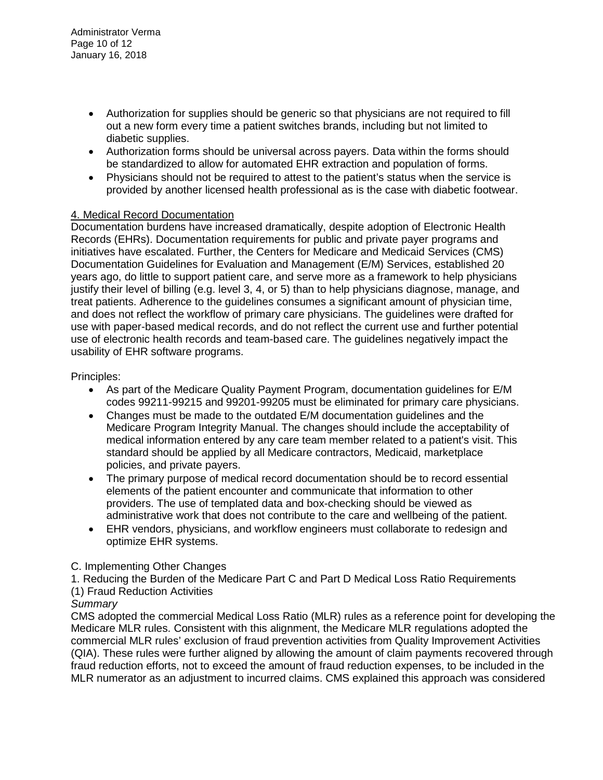- Authorization for supplies should be generic so that physicians are not required to fill out a new form every time a patient switches brands, including but not limited to diabetic supplies.
- Authorization forms should be universal across payers. Data within the forms should be standardized to allow for automated EHR extraction and population of forms.
- Physicians should not be required to attest to the patient's status when the service is provided by another licensed health professional as is the case with diabetic footwear.

## 4. Medical Record Documentation

Documentation burdens have increased dramatically, despite adoption of Electronic Health Records (EHRs). Documentation requirements for public and private payer programs and initiatives have escalated. Further, the Centers for Medicare and Medicaid Services (CMS) Documentation Guidelines for Evaluation and Management (E/M) Services, established 20 years ago, do little to support patient care, and serve more as a framework to help physicians justify their level of billing (e.g. level 3, 4, or 5) than to help physicians diagnose, manage, and treat patients. Adherence to the guidelines consumes a significant amount of physician time, and does not reflect the workflow of primary care physicians. The guidelines were drafted for use with paper-based medical records, and do not reflect the current use and further potential use of electronic health records and team-based care. The guidelines negatively impact the usability of EHR software programs.

## Principles:

- As part of the Medicare Quality Payment Program, documentation guidelines for E/M codes 99211-99215 and 99201-99205 must be eliminated for primary care physicians.
- Changes must be made to the outdated E/M documentation guidelines and the Medicare Program Integrity Manual. The changes should include the acceptability of medical information entered by any care team member related to a patient's visit. This standard should be applied by all Medicare contractors, Medicaid, marketplace policies, and private payers.
- The primary purpose of medical record documentation should be to record essential elements of the patient encounter and communicate that information to other providers. The use of templated data and box-checking should be viewed as administrative work that does not contribute to the care and wellbeing of the patient.
- EHR vendors, physicians, and workflow engineers must collaborate to redesign and optimize EHR systems.

## C. Implementing Other Changes

1. Reducing the Burden of the Medicare Part C and Part D Medical Loss Ratio Requirements

## (1) Fraud Reduction Activities

## *Summary*

CMS adopted the commercial Medical Loss Ratio (MLR) rules as a reference point for developing the Medicare MLR rules. Consistent with this alignment, the Medicare MLR regulations adopted the commercial MLR rules' exclusion of fraud prevention activities from Quality Improvement Activities (QIA). These rules were further aligned by allowing the amount of claim payments recovered through fraud reduction efforts, not to exceed the amount of fraud reduction expenses, to be included in the MLR numerator as an adjustment to incurred claims. CMS explained this approach was considered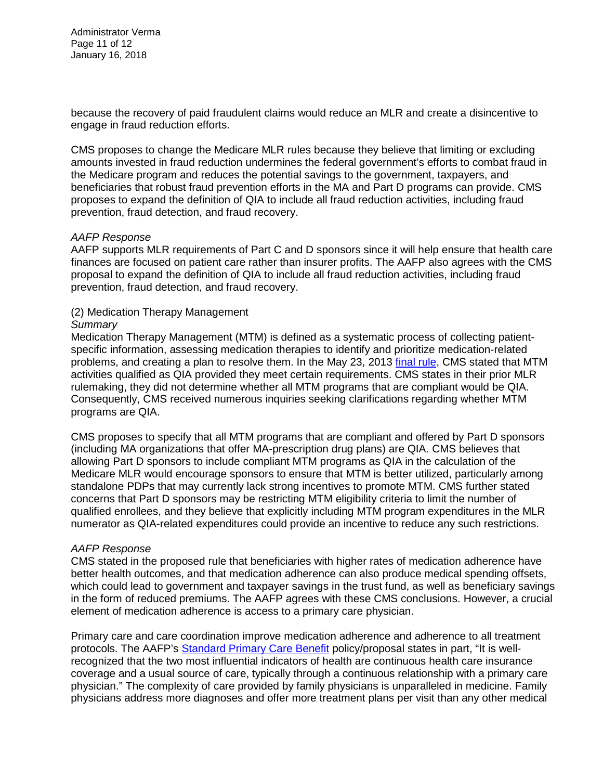Administrator Verma Page 11 of 12 January 16, 2018

because the recovery of paid fraudulent claims would reduce an MLR and create a disincentive to engage in fraud reduction efforts.

CMS proposes to change the Medicare MLR rules because they believe that limiting or excluding amounts invested in fraud reduction undermines the federal government's efforts to combat fraud in the Medicare program and reduces the potential savings to the government, taxpayers, and beneficiaries that robust fraud prevention efforts in the MA and Part D programs can provide. CMS proposes to expand the definition of QIA to include all fraud reduction activities, including fraud prevention, fraud detection, and fraud recovery.

### *AAFP Response*

AAFP supports MLR requirements of Part C and D sponsors since it will help ensure that health care finances are focused on patient care rather than insurer profits. The AAFP also agrees with the CMS proposal to expand the definition of QIA to include all fraud reduction activities, including fraud prevention, fraud detection, and fraud recovery.

### (2) Medication Therapy Management

#### *Summary*

Medication Therapy Management (MTM) is defined as a systematic process of collecting patientspecific information, assessing medication therapies to identify and prioritize medication-related problems, and creating a plan to resolve them. In the May 23, 2013 [final rule,](https://www.gpo.gov/fdsys/pkg/FR-2013-05-23/pdf/2013-12156.pdf) CMS stated that MTM activities qualified as QIA provided they meet certain requirements. CMS states in their prior MLR rulemaking, they did not determine whether all MTM programs that are compliant would be QIA. Consequently, CMS received numerous inquiries seeking clarifications regarding whether MTM programs are QIA.

CMS proposes to specify that all MTM programs that are compliant and offered by Part D sponsors (including MA organizations that offer MA-prescription drug plans) are QIA. CMS believes that allowing Part D sponsors to include compliant MTM programs as QIA in the calculation of the Medicare MLR would encourage sponsors to ensure that MTM is better utilized, particularly among standalone PDPs that may currently lack strong incentives to promote MTM. CMS further stated concerns that Part D sponsors may be restricting MTM eligibility criteria to limit the number of qualified enrollees, and they believe that explicitly including MTM program expenditures in the MLR numerator as QIA-related expenditures could provide an incentive to reduce any such restrictions.

### *AAFP Response*

CMS stated in the proposed rule that beneficiaries with higher rates of medication adherence have better health outcomes, and that medication adherence can also produce medical spending offsets, which could lead to government and taxpayer savings in the trust fund, as well as beneficiary savings in the form of reduced premiums. The AAFP agrees with these CMS conclusions. However, a crucial element of medication adherence is access to a primary care physician.

Primary care and care coordination improve medication adherence and adherence to all treatment protocols. The AAFP's [Standard Primary Care Benefit](https://www.aafp.org/dam/AAFP/documents/advocacy/coverage/aca/ES-StandardPrimaryCareBenefit-042617.pdf) policy/proposal states in part, "It is wellrecognized that the two most influential indicators of health are continuous health care insurance coverage and a usual source of care, typically through a continuous relationship with a primary care physician." The complexity of care provided by family physicians is unparalleled in medicine. Family physicians address more diagnoses and offer more treatment plans per visit than any other medical